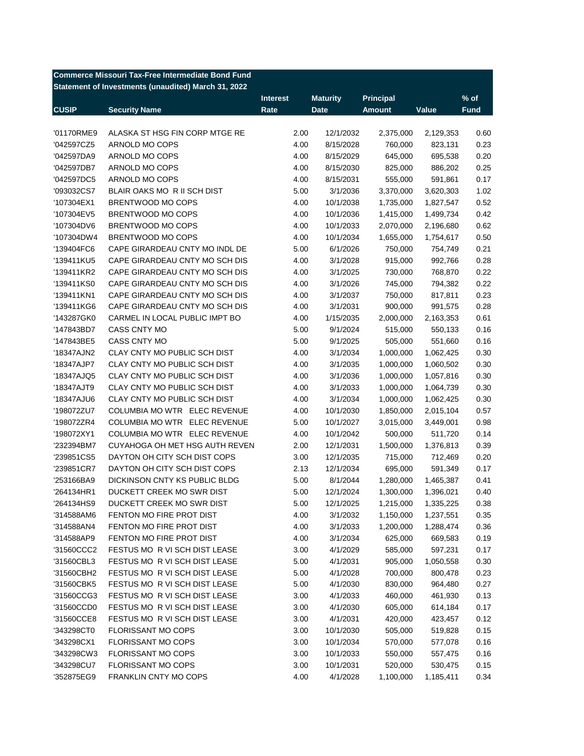| <b>Commerce Missouri Tax-Free Intermediate Bond Fund</b> |                                                     |                 |                 |                  |           |             |  |  |
|----------------------------------------------------------|-----------------------------------------------------|-----------------|-----------------|------------------|-----------|-------------|--|--|
|                                                          | Statement of Investments (unaudited) March 31, 2022 |                 |                 |                  |           |             |  |  |
|                                                          |                                                     | <b>Interest</b> | <b>Maturity</b> | <b>Principal</b> |           | $%$ of      |  |  |
| <b>CUSIP</b>                                             | <b>Security Name</b>                                | Rate            | <b>Date</b>     | <b>Amount</b>    | Value     | <b>Fund</b> |  |  |
|                                                          |                                                     |                 |                 |                  |           |             |  |  |
| '01170RME9                                               | ALASKA ST HSG FIN CORP MTGE RE                      | 2.00            | 12/1/2032       | 2,375,000        | 2,129,353 | 0.60        |  |  |
| '042597CZ5                                               | ARNOLD MO COPS                                      | 4.00            | 8/15/2028       | 760,000          | 823,131   | 0.23        |  |  |
| '042597DA9                                               | ARNOLD MO COPS                                      | 4.00            | 8/15/2029       | 645,000          | 695,538   | 0.20        |  |  |
| '042597DB7                                               | ARNOLD MO COPS                                      | 4.00            | 8/15/2030       | 825,000          | 886,202   | 0.25        |  |  |
| '042597DC5                                               | ARNOLD MO COPS                                      | 4.00            | 8/15/2031       | 555,000          | 591,861   | 0.17        |  |  |
| '093032CS7                                               | BLAIR OAKS MO R II SCH DIST                         | 5.00            | 3/1/2036        | 3,370,000        | 3,620,303 | 1.02        |  |  |
| '107304EX1                                               | BRENTWOOD MO COPS                                   | 4.00            | 10/1/2038       | 1,735,000        | 1,827,547 | 0.52        |  |  |
| '107304EV5                                               | BRENTWOOD MO COPS                                   | 4.00            | 10/1/2036       | 1,415,000        | 1,499,734 | 0.42        |  |  |
| '107304DV6                                               | BRENTWOOD MO COPS                                   | 4.00            | 10/1/2033       | 2,070,000        | 2,196,680 | 0.62        |  |  |
| '107304DW4                                               | BRENTWOOD MO COPS                                   | 4.00            | 10/1/2034       | 1,655,000        | 1,754,617 | 0.50        |  |  |
| '139404FC6                                               | CAPE GIRARDEAU CNTY MO INDL DE                      | 5.00            | 6/1/2026        | 750,000          | 754,749   | 0.21        |  |  |
| '139411KU5                                               | CAPE GIRARDEAU CNTY MO SCH DIS                      | 4.00            | 3/1/2028        | 915,000          | 992,766   | 0.28        |  |  |
| '139411KR2                                               | CAPE GIRARDEAU CNTY MO SCH DIS                      | 4.00            | 3/1/2025        | 730,000          | 768,870   | 0.22        |  |  |
| '139411KS0                                               | CAPE GIRARDEAU CNTY MO SCH DIS                      | 4.00            | 3/1/2026        | 745,000          | 794,382   | 0.22        |  |  |
| '139411KN1                                               | CAPE GIRARDEAU CNTY MO SCH DIS                      | 4.00            | 3/1/2037        | 750,000          | 817,811   | 0.23        |  |  |
| '139411KG6                                               | CAPE GIRARDEAU CNTY MO SCH DIS                      | 4.00            | 3/1/2031        | 900,000          | 991,575   | 0.28        |  |  |
| '143287GK0                                               | CARMEL IN LOCAL PUBLIC IMPT BO                      | 4.00            | 1/15/2035       | 2,000,000        | 2,163,353 | 0.61        |  |  |
| '147843BD7                                               | CASS CNTY MO                                        | 5.00            | 9/1/2024        | 515,000          | 550,133   | 0.16        |  |  |
| '147843BE5                                               | CASS CNTY MO                                        | 5.00            | 9/1/2025        | 505,000          | 551,660   | 0.16        |  |  |
| '18347AJN2                                               | CLAY CNTY MO PUBLIC SCH DIST                        | 4.00            | 3/1/2034        | 1,000,000        | 1,062,425 | 0.30        |  |  |
| '18347AJP7                                               | CLAY CNTY MO PUBLIC SCH DIST                        | 4.00            | 3/1/2035        | 1,000,000        | 1,060,502 | 0.30        |  |  |
| '18347AJQ5                                               | CLAY CNTY MO PUBLIC SCH DIST                        | 4.00            | 3/1/2036        | 1,000,000        | 1,057,816 | 0.30        |  |  |
| '18347AJT9                                               | CLAY CNTY MO PUBLIC SCH DIST                        | 4.00            | 3/1/2033        | 1,000,000        | 1,064,739 | 0.30        |  |  |
| '18347AJU6                                               | CLAY CNTY MO PUBLIC SCH DIST                        | 4.00            | 3/1/2034        | 1,000,000        | 1,062,425 | 0.30        |  |  |
| '198072ZU7                                               | COLUMBIA MO WTR ELEC REVENUE                        | 4.00            | 10/1/2030       | 1,850,000        | 2,015,104 | 0.57        |  |  |
| '198072ZR4                                               | COLUMBIA MO WTR ELEC REVENUE                        | 5.00            | 10/1/2027       | 3,015,000        | 3,449,001 | 0.98        |  |  |
| '198072XY1                                               | COLUMBIA MO WTR ELEC REVENUE                        | 4.00            | 10/1/2042       | 500,000          | 511,720   | 0.14        |  |  |
| '232394BM7                                               | CUYAHOGA OH MET HSG AUTH REVEN                      | 2.00            | 12/1/2031       | 1,500,000        | 1,376,813 | 0.39        |  |  |
| '239851CS5                                               | DAYTON OH CITY SCH DIST COPS                        | 3.00            | 12/1/2035       | 715,000          | 712,469   | 0.20        |  |  |
| '239851CR7                                               | DAYTON OH CITY SCH DIST COPS                        | 2.13            | 12/1/2034       | 695,000          | 591,349   | 0.17        |  |  |
| '253166BA9                                               | DICKINSON CNTY KS PUBLIC BLDG                       | 5.00            | 8/1/2044        | 1,280,000        | 1,465,387 | 0.41        |  |  |
| '264134HR1                                               | DUCKETT CREEK MO SWR DIST                           | 5.00            | 12/1/2024       | 1,300,000        | 1,396,021 | 0.40        |  |  |
| '264134HS9                                               | DUCKETT CREEK MO SWR DIST                           | 5.00            | 12/1/2025       | 1,215,000        | 1,335,225 | 0.38        |  |  |
| '314588AM6                                               | FENTON MO FIRE PROT DIST                            | 4.00            | 3/1/2032        | 1,150,000        | 1,237,551 | 0.35        |  |  |
| '314588AN4                                               | FENTON MO FIRE PROT DIST                            | 4.00            | 3/1/2033        | 1,200,000        | 1,288,474 | 0.36        |  |  |
| '314588AP9                                               | FENTON MO FIRE PROT DIST                            | 4.00            | 3/1/2034        | 625,000          | 669,583   | 0.19        |  |  |
| '31560CCC2                                               | FESTUS MO R VI SCH DIST LEASE                       | 3.00            | 4/1/2029        | 585,000          | 597,231   | 0.17        |  |  |
| '31560CBL3                                               | FESTUS MO R VI SCH DIST LEASE                       | 5.00            | 4/1/2031        | 905,000          | 1,050,558 | 0.30        |  |  |
| '31560CBH2                                               | FESTUS MO R VI SCH DIST LEASE                       | 5.00            | 4/1/2028        | 700,000          | 800,478   | 0.23        |  |  |
| '31560CBK5                                               | FESTUS MO R VI SCH DIST LEASE                       | 5.00            | 4/1/2030        | 830,000          | 964,480   | 0.27        |  |  |
| '31560CCG3                                               | FESTUS MO R VI SCH DIST LEASE                       | 3.00            | 4/1/2033        | 460,000          | 461,930   | 0.13        |  |  |
| '31560CCD0                                               | FESTUS MO R VI SCH DIST LEASE                       | 3.00            | 4/1/2030        | 605,000          | 614,184   | 0.17        |  |  |
| '31560CCE8                                               | FESTUS MO R VI SCH DIST LEASE                       | 3.00            | 4/1/2031        | 420,000          | 423,457   | 0.12        |  |  |
| '343298CT0                                               | FLORISSANT MO COPS                                  | 3.00            | 10/1/2030       | 505,000          | 519,828   | 0.15        |  |  |
| '343298CX1                                               | FLORISSANT MO COPS                                  | 3.00            | 10/1/2034       | 570,000          | 577,078   | 0.16        |  |  |
| '343298CW3                                               | FLORISSANT MO COPS                                  | 3.00            | 10/1/2033       | 550,000          | 557,475   | 0.16        |  |  |
| '343298CU7                                               | FLORISSANT MO COPS                                  | 3.00            | 10/1/2031       | 520,000          | 530,475   | 0.15        |  |  |
| '352875EG9                                               | FRANKLIN CNTY MO COPS                               | 4.00            | 4/1/2028        | 1,100,000        | 1,185,411 | 0.34        |  |  |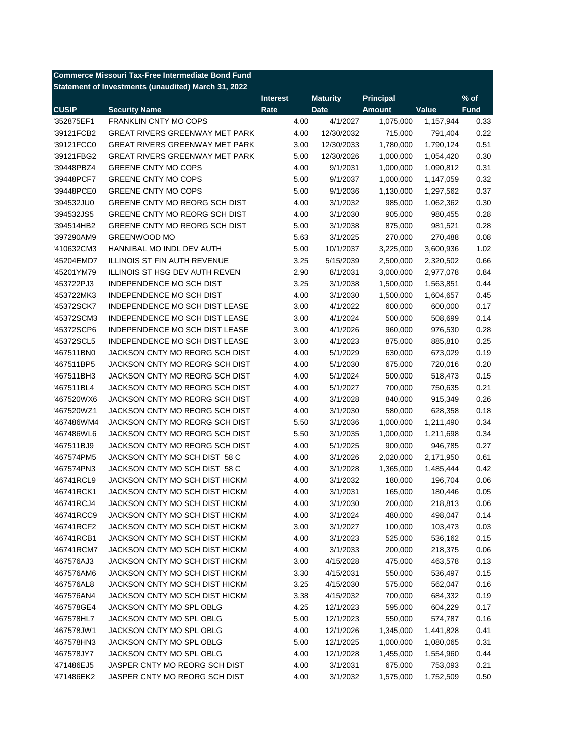| <b>Commerce Missouri Tax-Free Intermediate Bond Fund</b> |                                                     |                 |                      |                  |           |             |  |  |
|----------------------------------------------------------|-----------------------------------------------------|-----------------|----------------------|------------------|-----------|-------------|--|--|
|                                                          | Statement of Investments (unaudited) March 31, 2022 |                 |                      |                  |           |             |  |  |
|                                                          |                                                     | <b>Interest</b> | <b>Maturity</b>      | <b>Principal</b> |           | $%$ of      |  |  |
| <b>CUSIP</b>                                             | <b>Security Name</b>                                | Rate            | <b>Date</b>          | <b>Amount</b>    | Value     | <b>Fund</b> |  |  |
| '352875EF1                                               | <b>FRANKLIN CNTY MO COPS</b>                        | 4.00            | 4/1/2027             | 1,075,000        | 1,157,944 | 0.33        |  |  |
| '39121FCB2                                               | <b>GREAT RIVERS GREENWAY MET PARK</b>               | 4.00            | 12/30/2032           | 715,000          | 791,404   | 0.22        |  |  |
| '39121FCC0                                               | GREAT RIVERS GREENWAY MET PARK                      | 3.00            | 12/30/2033           | 1,780,000        | 1,790,124 | 0.51        |  |  |
| '39121FBG2                                               | <b>GREAT RIVERS GREENWAY MET PARK</b>               | 5.00            | 12/30/2026           | 1,000,000        | 1,054,420 | 0.30        |  |  |
| '39448PBZ4                                               | <b>GREENE CNTY MO COPS</b>                          | 4.00            | 9/1/2031             | 1,000,000        | 1,090,812 | 0.31        |  |  |
| '39448PCF7                                               | GREENE CNTY MO COPS                                 | 5.00            | 9/1/2037             | 1,000,000        | 1,147,059 | 0.32        |  |  |
| '39448PCE0                                               | <b>GREENE CNTY MO COPS</b>                          | 5.00            | 9/1/2036             | 1,130,000        | 1,297,562 | 0.37        |  |  |
| '394532JU0                                               | GREENE CNTY MO REORG SCH DIST                       | 4.00            | 3/1/2032             | 985,000          | 1,062,362 | 0.30        |  |  |
| '394532JS5                                               | GREENE CNTY MO REORG SCH DIST                       | 4.00            | 3/1/2030             | 905,000          | 980,455   | 0.28        |  |  |
| '394514HB2                                               | GREENE CNTY MO REORG SCH DIST                       | 5.00            | 3/1/2038             | 875,000          | 981,521   | 0.28        |  |  |
| '397290AM9                                               | <b>GREENWOOD MO</b>                                 | 5.63            | 3/1/2025             | 270,000          | 270,488   | 0.08        |  |  |
| '410632CM3                                               | HANNIBAL MO INDL DEV AUTH                           | 5.00            | 10/1/2037            | 3,225,000        | 3,600,936 | 1.02        |  |  |
| '45204EMD7                                               | <b>ILLINOIS ST FIN AUTH REVENUE</b>                 | 3.25            | 5/15/2039            | 2,500,000        | 2,320,502 | 0.66        |  |  |
| '45201YM79                                               | ILLINOIS ST HSG DEV AUTH REVEN                      | 2.90            | 8/1/2031             | 3,000,000        | 2,977,078 | 0.84        |  |  |
| '453722PJ3                                               | <b>INDEPENDENCE MO SCH DIST</b>                     | 3.25            | 3/1/2038             | 1,500,000        | 1,563,851 | 0.44        |  |  |
| '453722MK3                                               | INDEPENDENCE MO SCH DIST                            | 4.00            | 3/1/2030             | 1,500,000        | 1,604,657 | 0.45        |  |  |
| '45372SCK7                                               | INDEPENDENCE MO SCH DIST LEASE                      | 3.00            | 4/1/2022             | 600,000          | 600,000   | 0.17        |  |  |
| '45372SCM3                                               | INDEPENDENCE MO SCH DIST LEASE                      | 3.00            | 4/1/2024             | 500,000          | 508,699   | 0.14        |  |  |
| '45372SCP6                                               | INDEPENDENCE MO SCH DIST LEASE                      | 3.00            | 4/1/2026             | 960,000          | 976,530   | 0.28        |  |  |
| '45372SCL5                                               | INDEPENDENCE MO SCH DIST LEASE                      | 3.00            | 4/1/2023             | 875,000          | 885,810   | 0.25        |  |  |
| '467511BN0                                               | JACKSON CNTY MO REORG SCH DIST                      | 4.00            | 5/1/2029             | 630,000          | 673,029   | 0.19        |  |  |
| '467511BP5                                               | JACKSON CNTY MO REORG SCH DIST                      | 4.00            | 5/1/2030             | 675,000          | 720,016   | 0.20        |  |  |
| '467511BH3                                               | JACKSON CNTY MO REORG SCH DIST                      | 4.00            | 5/1/2024             | 500,000          | 518,473   | 0.15        |  |  |
| '467511BL4                                               | JACKSON CNTY MO REORG SCH DIST                      | 4.00            | 5/1/2027             | 700,000          | 750,635   | 0.21        |  |  |
| '467520WX6                                               | JACKSON CNTY MO REORG SCH DIST                      | 4.00            | 3/1/2028             | 840,000          | 915,349   | 0.26        |  |  |
| '467520WZ1                                               | JACKSON CNTY MO REORG SCH DIST                      | 4.00            | 3/1/2030             | 580,000          | 628,358   | 0.18        |  |  |
| '467486WM4                                               | JACKSON CNTY MO REORG SCH DIST                      | 5.50            | 3/1/2036             | 1,000,000        | 1,211,490 | 0.34        |  |  |
| '467486WL6                                               | JACKSON CNTY MO REORG SCH DIST                      | 5.50            | 3/1/2035             | 1,000,000        | 1,211,698 | 0.34        |  |  |
| '467511BJ9                                               | JACKSON CNTY MO REORG SCH DIST                      | 4.00            | 5/1/2025             | 900,000          | 946,785   | 0.27        |  |  |
| '467574PM5                                               | JACKSON CNTY MO SCH DIST 58 C                       | 4.00            | 3/1/2026             | 2,020,000        | 2,171,950 | 0.61        |  |  |
| '467574PN3                                               | JACKSON CNTY MO SCH DIST 58 C                       | 4.00            | 3/1/2028             | 1,365,000        | 1,485,444 | 0.42        |  |  |
| '46741RCL9                                               | JACKSON CNTY MO SCH DIST HICKM                      | 4.00            | 3/1/2032             | 180,000          | 196,704   | 0.06        |  |  |
| '46741RCK1                                               | JACKSON CNTY MO SCH DIST HICKM                      | 4.00            | 3/1/2031             | 165,000          | 180,446   | 0.05        |  |  |
| '46741RCJ4                                               | JACKSON CNTY MO SCH DIST HICKM                      | 4.00            | 3/1/2030             | 200,000          | 218,813   | 0.06        |  |  |
| '46741RCC9                                               | JACKSON CNTY MO SCH DIST HICKM                      | 4.00            | 3/1/2024             | 480,000          | 498,047   | 0.14        |  |  |
| '46741RCF2                                               | JACKSON CNTY MO SCH DIST HICKM                      | 3.00            |                      | 100,000          | 103,473   | 0.03        |  |  |
| '46741RCB1                                               | JACKSON CNTY MO SCH DIST HICKM                      | 4.00            | 3/1/2027             |                  |           | 0.15        |  |  |
|                                                          | JACKSON CNTY MO SCH DIST HICKM                      | 4.00            | 3/1/2023<br>3/1/2033 | 525,000          | 536,162   | 0.06        |  |  |
| '46741RCM7                                               |                                                     |                 |                      | 200,000          | 218,375   |             |  |  |
| '467576AJ3                                               | JACKSON CNTY MO SCH DIST HICKM                      | 3.00            | 4/15/2028            | 475,000          | 463,578   | 0.13        |  |  |
| '467576AM6                                               | JACKSON CNTY MO SCH DIST HICKM                      | 3.30            | 4/15/2031            | 550,000          | 536,497   | 0.15        |  |  |
| '467576AL8                                               | JACKSON CNTY MO SCH DIST HICKM                      | 3.25            | 4/15/2030            | 575,000          | 562,047   | 0.16        |  |  |
| '467576AN4                                               | JACKSON CNTY MO SCH DIST HICKM                      | 3.38            | 4/15/2032            | 700,000          | 684,332   | 0.19        |  |  |
| '467578GE4                                               | JACKSON CNTY MO SPL OBLG                            | 4.25            | 12/1/2023            | 595,000          | 604,229   | 0.17        |  |  |
| '467578HL7                                               | JACKSON CNTY MO SPL OBLG                            | 5.00            | 12/1/2023            | 550,000          | 574,787   | 0.16        |  |  |
| '467578JW1                                               | JACKSON CNTY MO SPL OBLG                            | 4.00            | 12/1/2026            | 1,345,000        | 1,441,828 | 0.41        |  |  |
| '467578HN3                                               | JACKSON CNTY MO SPL OBLG                            | 5.00            | 12/1/2025            | 1,000,000        | 1,080,065 | 0.31        |  |  |
| '467578JY7                                               | JACKSON CNTY MO SPL OBLG                            | 4.00            | 12/1/2028            | 1,455,000        | 1,554,960 | 0.44        |  |  |
| '471486EJ5                                               | JASPER CNTY MO REORG SCH DIST                       | 4.00            | 3/1/2031             | 675,000          | 753,093   | 0.21        |  |  |
| '471486EK2                                               | JASPER CNTY MO REORG SCH DIST                       | 4.00            | 3/1/2032             | 1,575,000        | 1,752,509 | 0.50        |  |  |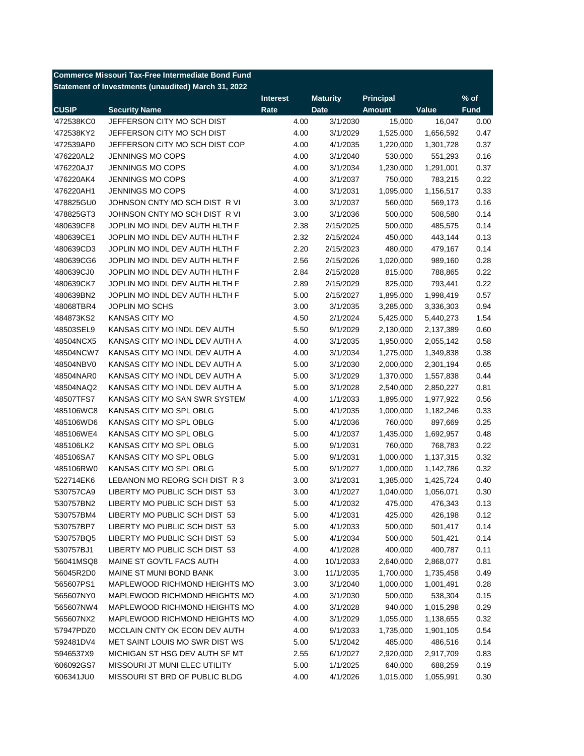|                          | <b>Commerce Missouri Tax-Free Intermediate Bond Fund</b> |                 |                 |               |           |             |
|--------------------------|----------------------------------------------------------|-----------------|-----------------|---------------|-----------|-------------|
|                          | Statement of Investments (unaudited) March 31, 2022      |                 |                 |               |           |             |
|                          |                                                          | <b>Interest</b> | <b>Maturity</b> | Principal     |           | $%$ of      |
| <b>CUSIP</b>             | <b>Security Name</b>                                     | Rate            | <b>Date</b>     | <b>Amount</b> | Value     | <b>Fund</b> |
| '472538KC0               | JEFFERSON CITY MO SCH DIST                               | 4.00            | 3/1/2030        | 15,000        | 16,047    | 0.00        |
| '472538KY2               | JEFFERSON CITY MO SCH DIST                               | 4.00            | 3/1/2029        | 1,525,000     | 1,656,592 | 0.47        |
| '472539AP0               | JEFFERSON CITY MO SCH DIST COP                           | 4.00            | 4/1/2035        | 1,220,000     | 1,301,728 | 0.37        |
| '476220AL2               | <b>JENNINGS MO COPS</b>                                  | 4.00            | 3/1/2040        | 530,000       | 551,293   | 0.16        |
| '476220AJ7               | <b>JENNINGS MO COPS</b>                                  | 4.00            | 3/1/2034        | 1,230,000     | 1,291,001 | 0.37        |
| '476220AK4               | <b>JENNINGS MO COPS</b>                                  | 4.00            | 3/1/2037        | 750,000       | 783,215   | 0.22        |
| '476220AH1               | JENNINGS MO COPS                                         | 4.00            | 3/1/2031        | 1,095,000     | 1,156,517 | 0.33        |
| '478825GU0               | JOHNSON CNTY MO SCH DIST R VI                            | 3.00            | 3/1/2037        | 560,000       | 569,173   | 0.16        |
| '478825GT3               | JOHNSON CNTY MO SCH DIST R VI                            | 3.00            | 3/1/2036        | 500,000       | 508,580   | 0.14        |
| '480639CF8               | JOPLIN MO INDL DEV AUTH HLTH F                           | 2.38            | 2/15/2025       | 500,000       | 485,575   | 0.14        |
| '480639CE1               | JOPLIN MO INDL DEV AUTH HLTH F                           | 2.32            | 2/15/2024       | 450,000       | 443,144   | 0.13        |
| '480639CD3               | JOPLIN MO INDL DEV AUTH HLTH F                           | 2.20            | 2/15/2023       | 480,000       | 479,167   | 0.14        |
| '480639CG6               | JOPLIN MO INDL DEV AUTH HLTH F                           | 2.56            | 2/15/2026       | 1,020,000     | 989,160   | 0.28        |
| '480639CJ0               | JOPLIN MO INDL DEV AUTH HLTH F                           | 2.84            | 2/15/2028       | 815,000       | 788,865   | 0.22        |
|                          | JOPLIN MO INDL DEV AUTH HLTH F                           |                 |                 |               |           | 0.22        |
| '480639CK7<br>'480639BN2 |                                                          | 2.89            | 2/15/2029       | 825,000       | 793,441   | 0.57        |
| '48068TBR4               | JOPLIN MO INDL DEV AUTH HLTH F                           | 5.00            | 2/15/2027       | 1,895,000     | 1,998,419 | 0.94        |
|                          | JOPLIN MO SCHS                                           | 3.00            | 3/1/2035        | 3,285,000     | 3,336,303 |             |
| '484873KS2               | <b>KANSAS CITY MO</b>                                    | 4.50            | 2/1/2024        | 5,425,000     | 5,440,273 | 1.54        |
| '48503SEL9               | KANSAS CITY MO INDL DEV AUTH                             | 5.50            | 9/1/2029        | 2,130,000     | 2,137,389 | 0.60        |
| '48504NCX5               | KANSAS CITY MO INDL DEV AUTH A                           | 4.00            | 3/1/2035        | 1,950,000     | 2,055,142 | 0.58        |
| '48504NCW7               | KANSAS CITY MO INDL DEV AUTH A                           | 4.00            | 3/1/2034        | 1,275,000     | 1,349,838 | 0.38        |
| '48504NBV0               | KANSAS CITY MO INDL DEV AUTH A                           | 5.00            | 3/1/2030        | 2,000,000     | 2,301,194 | 0.65        |
| '48504NAR0               | KANSAS CITY MO INDL DEV AUTH A                           | 5.00            | 3/1/2029        | 1,370,000     | 1,557,838 | 0.44        |
| '48504NAQ2               | KANSAS CITY MO INDL DEV AUTH A                           | 5.00            | 3/1/2028        | 2,540,000     | 2,850,227 | 0.81        |
| '48507TFS7               | KANSAS CITY MO SAN SWR SYSTEM                            | 4.00            | 1/1/2033        | 1,895,000     | 1,977,922 | 0.56        |
| '485106WC8               | KANSAS CITY MO SPL OBLG                                  | 5.00            | 4/1/2035        | 1,000,000     | 1,182,246 | 0.33        |
| '485106WD6               | KANSAS CITY MO SPL OBLG                                  | 5.00            | 4/1/2036        | 760,000       | 897,669   | 0.25        |
| '485106WE4               | KANSAS CITY MO SPL OBLG                                  | 5.00            | 4/1/2037        | 1,435,000     | 1,692,957 | 0.48        |
| '485106LK2               | KANSAS CITY MO SPL OBLG                                  | 5.00            | 9/1/2031        | 760,000       | 768,783   | 0.22        |
| '485106SA7               | KANSAS CITY MO SPL OBLG                                  | 5.00            | 9/1/2031        | 1,000,000     | 1,137,315 | 0.32        |
| '485106RW0               | KANSAS CITY MO SPL OBLG                                  | 5.00            | 9/1/2027        | 1,000,000     | 1,142,786 | 0.32        |
| '522714EK6               | LEBANON MO REORG SCH DIST R 3                            | 3.00            | 3/1/2031        | 1,385,000     | 1,425,724 | 0.40        |
| '530757CA9               | LIBERTY MO PUBLIC SCH DIST 53                            | 3.00            | 4/1/2027        | 1,040,000     | 1,056,071 | 0.30        |
| '530757BN2               | LIBERTY MO PUBLIC SCH DIST 53                            | 5.00            | 4/1/2032        | 475,000       | 476,343   | 0.13        |
| '530757BM4               | LIBERTY MO PUBLIC SCH DIST 53                            | 5.00            | 4/1/2031        | 425,000       | 426,198   | 0.12        |
| '530757BP7               | LIBERTY MO PUBLIC SCH DIST 53                            | 5.00            | 4/1/2033        | 500,000       | 501,417   | 0.14        |
| '530757BQ5               | LIBERTY MO PUBLIC SCH DIST 53                            | 5.00            | 4/1/2034        | 500,000       | 501,421   | 0.14        |
| '530757BJ1               | LIBERTY MO PUBLIC SCH DIST 53                            | 4.00            | 4/1/2028        | 400,000       | 400,787   | 0.11        |
| '56041MSQ8               | MAINE ST GOVTL FACS AUTH                                 | 4.00            | 10/1/2033       | 2,640,000     | 2,868,077 | 0.81        |
| '56045R2D0               | MAINE ST MUNI BOND BANK                                  | 3.00            | 11/1/2035       | 1,700,000     | 1,735,458 | 0.49        |
| '565607PS1               | MAPLEWOOD RICHMOND HEIGHTS MO                            | 3.00            | 3/1/2040        | 1,000,000     | 1,001,491 | 0.28        |
| '565607NY0               | MAPLEWOOD RICHMOND HEIGHTS MO                            | 4.00            | 3/1/2030        | 500,000       | 538,304   | 0.15        |
| '565607NW4               | MAPLEWOOD RICHMOND HEIGHTS MO                            | 4.00            | 3/1/2028        | 940,000       | 1,015,298 | 0.29        |
| '565607NX2               | MAPLEWOOD RICHMOND HEIGHTS MO                            | 4.00            | 3/1/2029        | 1,055,000     | 1,138,655 | 0.32        |
|                          |                                                          |                 |                 |               |           |             |
| '57947PDZ0               | MCCLAIN CNTY OK ECON DEV AUTH                            | 4.00            | 9/1/2033        | 1,735,000     | 1,901,105 | 0.54        |
| '592481DV4               | MET SAINT LOUIS MO SWR DIST WS                           | 5.00            | 5/1/2042        | 485,000       | 486,516   | 0.14        |
| '5946537X9               | MICHIGAN ST HSG DEV AUTH SF MT                           | 2.55            | 6/1/2027        | 2,920,000     | 2,917,709 | 0.83        |
| '606092GS7               | MISSOURI JT MUNI ELEC UTILITY                            | 5.00            | 1/1/2025        | 640,000       | 688,259   | 0.19        |
| '606341JU0               | MISSOURI ST BRD OF PUBLIC BLDG                           | 4.00            | 4/1/2026        | 1,015,000     | 1,055,991 | 0.30        |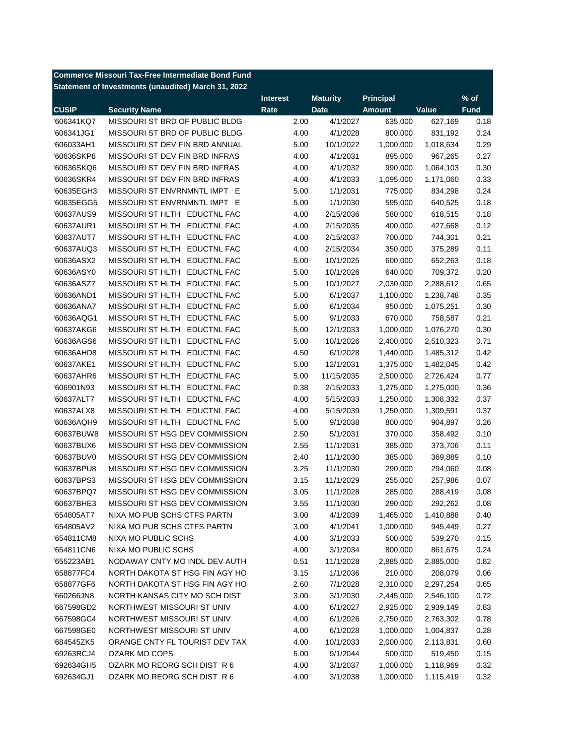|              | <b>Commerce Missouri Tax-Free Intermediate Bond Fund</b> |                 |                 |               |           |             |
|--------------|----------------------------------------------------------|-----------------|-----------------|---------------|-----------|-------------|
|              | Statement of Investments (unaudited) March 31, 2022      |                 |                 |               |           |             |
|              |                                                          | <b>Interest</b> | <b>Maturity</b> | Principal     |           | $%$ of      |
| <b>CUSIP</b> | <b>Security Name</b>                                     | Rate            | <b>Date</b>     | <b>Amount</b> | Value     | <b>Fund</b> |
| '606341KQ7   | MISSOURI ST BRD OF PUBLIC BLDG                           | 2.00            | 4/1/2027        | 635,000       | 627,169   | 0.18        |
| '606341JG1   | MISSOURI ST BRD OF PUBLIC BLDG                           | 4.00            | 4/1/2028        | 800,000       | 831,192   | 0.24        |
| '606033AH1   | MISSOURI ST DEV FIN BRD ANNUAL                           | 5.00            | 10/1/2022       | 1,000,000     | 1,018,634 | 0.29        |
| '60636SKP8   | MISSOURI ST DEV FIN BRD INFRAS                           | 4.00            | 4/1/2031        | 895,000       | 967,265   | 0.27        |
| '60636SKQ6   | MISSOURI ST DEV FIN BRD INFRAS                           | 4.00            | 4/1/2032        | 990,000       | 1,064,103 | 0.30        |
| '60636SKR4   | MISSOURI ST DEV FIN BRD INFRAS                           | 4.00            | 4/1/2033        | 1,095,000     | 1,171,060 | 0.33        |
| '60635EGH3   | MISSOURI ST ENVRNMNTL IMPT E                             | 5.00            | 1/1/2031        | 775,000       | 834,298   | 0.24        |
| '60635EGG5   | MISSOURI ST ENVRNMNTL IMPT E                             | 5.00            | 1/1/2030        | 595,000       | 640,525   | 0.18        |
| '60637AUS9   | MISSOURI ST HLTH EDUCTNL FAC                             | 4.00            | 2/15/2036       | 580,000       | 618,515   | 0.18        |
| '60637AUR1   | MISSOURI ST HLTH EDUCTNL FAC                             | 4.00            | 2/15/2035       | 400,000       | 427,668   | 0.12        |
| '60637AUT7   | MISSOURI ST HLTH EDUCTNL FAC                             | 4.00            | 2/15/2037       | 700,000       | 744,301   | 0.21        |
| '60637AUQ3   | MISSOURI ST HLTH EDUCTNL FAC                             | 4.00            | 2/15/2034       | 350,000       | 375,289   | 0.11        |
| '60636ASX2   | MISSOURI ST HLTH EDUCTNL FAC                             | 5.00            | 10/1/2025       | 600,000       | 652,263   | 0.18        |
| '60636ASY0   | MISSOURI ST HLTH EDUCTNL FAC                             | 5.00            | 10/1/2026       | 640,000       | 709,372   | 0.20        |
| '60636ASZ7   | MISSOURI ST HLTH EDUCTNL FAC                             | 5.00            | 10/1/2027       | 2,030,000     | 2,288,612 | 0.65        |
| '60636AND1   | MISSOURI ST HLTH EDUCTNL FAC                             | 5.00            | 6/1/2037        | 1,100,000     | 1,238,748 | 0.35        |
| '60636ANA7   | MISSOURI ST HLTH EDUCTNL FAC                             | 5.00            | 6/1/2034        | 950,000       | 1,075,251 | 0.30        |
| '60636AQG1   | MISSOURI ST HLTH EDUCTNL FAC                             | 5.00            | 9/1/2033        | 670,000       | 758,587   | 0.21        |
| '60637AKG6   | MISSOURI ST HLTH EDUCTNL FAC                             | 5.00            | 12/1/2033       | 1,000,000     | 1,076,270 | 0.30        |
| '60636AGS6   | MISSOURI ST HLTH EDUCTNL FAC                             | 5.00            | 10/1/2026       | 2,400,000     | 2,510,323 | 0.71        |
| '60636AHD8   | MISSOURI ST HLTH EDUCTNL FAC                             | 4.50            | 6/1/2028        | 1,440,000     | 1,485,312 | 0.42        |
| '60637AKE1   | MISSOURI ST HLTH EDUCTNL FAC                             | 5.00            | 12/1/2031       | 1,375,000     | 1,482,045 | 0.42        |
| '60637AHR6   | MISSOURI ST HLTH EDUCTNL FAC                             | 5.00            | 11/15/2035      | 2,500,000     | 2,726,424 | 0.77        |
| '606901N93   | MISSOURI ST HLTH EDUCTNL FAC                             | 0.38            | 2/15/2033       | 1,275,000     | 1,275,000 | 0.36        |
| '60637ALT7   | MISSOURI ST HLTH EDUCTNL FAC                             | 4.00            | 5/15/2033       | 1,250,000     | 1,308,332 | 0.37        |
| '60637ALX8   | MISSOURI ST HLTH EDUCTNL FAC                             | 4.00            | 5/15/2039       | 1,250,000     | 1,309,591 | 0.37        |
| '60636AQH9   | MISSOURI ST HLTH EDUCTNL FAC                             | 5.00            | 9/1/2038        | 800,000       | 904,897   | 0.26        |
| '60637BUW8   | MISSOURI ST HSG DEV COMMISSION                           | 2.50            | 5/1/2031        | 370,000       | 358,492   | 0.10        |
| '60637BUX6   | MISSOURI ST HSG DEV COMMISSION                           | 2.55            | 11/1/2031       | 385,000       | 373,706   | 0.11        |
| '60637BUV0   | MISSOURI ST HSG DEV COMMISSION                           | 2.40            | 11/1/2030       | 385,000       | 369,889   | 0.10        |
| '60637BPU8   | MISSOURI ST HSG DEV COMMISSION                           | 3.25            | 11/1/2030       | 290,000       | 294,060   | 0.08        |
| '60637BPS3   | MISSOURI ST HSG DEV COMMISSION                           | 3.15            | 11/1/2029       | 255,000       | 257,986   | 0.07        |
| '60637BPQ7   | MISSOURI ST HSG DEV COMMISSION                           | 3.05            | 11/1/2028       | 285,000       | 288,419   | 0.08        |
| '60637BHE3   | MISSOURI ST HSG DEV COMMISSION                           | 3.55            | 11/1/2030       | 290,000       | 292,262   | 0.08        |
| '654805AT7   | NIXA MO PUB SCHS CTFS PARTN                              | 3.00            | 4/1/2039        | 1,465,000     | 1,410,888 | 0.40        |
| '654805AV2   | NIXA MO PUB SCHS CTFS PARTN                              | 3.00            | 4/1/2041        | 1,000,000     | 945,449   | 0.27        |
| '654811CM8   | NIXA MO PUBLIC SCHS                                      | 4.00            | 3/1/2033        | 500,000       | 539,270   | 0.15        |
| '654811CN6   | NIXA MO PUBLIC SCHS                                      | 4.00            | 3/1/2034        | 800,000       | 861,675   | 0.24        |
| '655223AB1   | NODAWAY CNTY MO INDL DEV AUTH                            | 0.51            | 11/1/2028       | 2,885,000     | 2,885,000 | 0.82        |
| '658877FC4   | NORTH DAKOTA ST HSG FIN AGY HO                           |                 |                 |               | 208,079   |             |
| '658877GF6   | NORTH DAKOTA ST HSG FIN AGY HO                           | 3.15            | 1/1/2036        | 210,000       |           | 0.06        |
|              |                                                          | 2.60            | 7/1/2028        | 2,310,000     | 2,297,254 | 0.65        |
| '660266JN8   | NORTH KANSAS CITY MO SCH DIST                            | 3.00            | 3/1/2030        | 2,445,000     | 2,546,100 | 0.72        |
| '667598GD2   | NORTHWEST MISSOURI ST UNIV<br>NORTHWEST MISSOURI ST UNIV | 4.00            | 6/1/2027        | 2,925,000     | 2,939,149 | 0.83        |
| '667598GC4   |                                                          | 4.00            | 6/1/2026        | 2,750,000     | 2,763,302 | 0.78        |
| '667598GE0   | NORTHWEST MISSOURI ST UNIV                               | 4.00            | 6/1/2028        | 1,000,000     | 1,004,837 | 0.28        |
| '684545ZK5   | ORANGE CNTY FL TOURIST DEV TAX                           | 4.00            | 10/1/2033       | 2,000,000     | 2,113,831 | 0.60        |
| '69263RCJ4   | <b>OZARK MO COPS</b>                                     | 5.00            | 9/1/2044        | 500,000       | 519,450   | 0.15        |
| '692634GH5   | OZARK MO REORG SCH DIST R 6                              | 4.00            | 3/1/2037        | 1,000,000     | 1,118,969 | 0.32        |
| '692634GJ1   | OZARK MO REORG SCH DIST R 6                              | 4.00            | 3/1/2038        | 1,000,000     | 1,115,419 | 0.32        |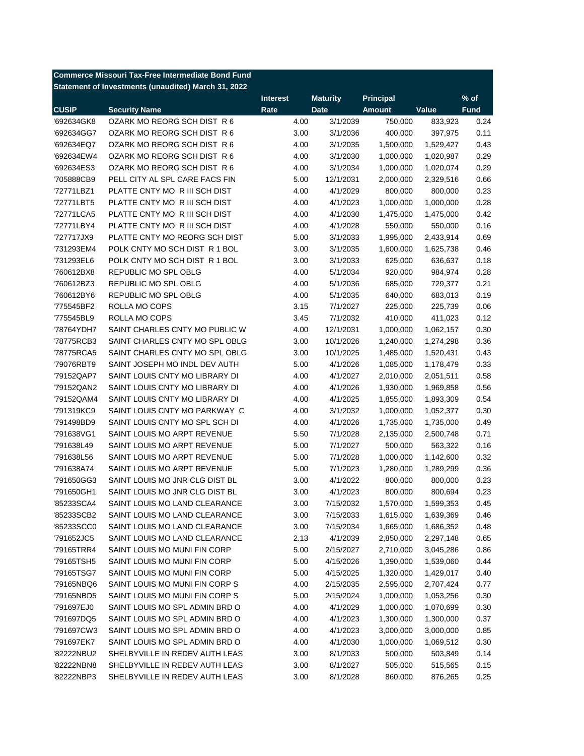|              | <b>Commerce Missouri Tax-Free Intermediate Bond Fund</b> |                 |                 |               |           |             |
|--------------|----------------------------------------------------------|-----------------|-----------------|---------------|-----------|-------------|
|              | Statement of Investments (unaudited) March 31, 2022      |                 |                 |               |           |             |
|              |                                                          | <b>Interest</b> | <b>Maturity</b> | Principal     |           | $%$ of      |
| <b>CUSIP</b> | <b>Security Name</b>                                     | Rate            | <b>Date</b>     | <b>Amount</b> | Value     | <b>Fund</b> |
| '692634GK8   | OZARK MO REORG SCH DIST R 6                              | 4.00            | 3/1/2039        | 750,000       | 833,923   | 0.24        |
| '692634GG7   | OZARK MO REORG SCH DIST R 6                              | 3.00            | 3/1/2036        | 400,000       | 397,975   | 0.11        |
| '692634EQ7   | OZARK MO REORG SCH DIST R 6                              | 4.00            | 3/1/2035        | 1,500,000     | 1,529,427 | 0.43        |
| '692634EW4   | OZARK MO REORG SCH DIST R 6                              | 4.00            | 3/1/2030        | 1,000,000     | 1,020,987 | 0.29        |
| '692634ES3   | OZARK MO REORG SCH DIST R 6                              | 4.00            | 3/1/2034        | 1,000,000     | 1,020,074 | 0.29        |
| '705888CB9   | PELL CITY AL SPL CARE FACS FIN                           | 5.00            | 12/1/2031       | 2,000,000     | 2,329,516 | 0.66        |
| '72771LBZ1   | PLATTE CNTY MO R III SCH DIST                            | 4.00            | 4/1/2029        | 800,000       | 800,000   | 0.23        |
| '72771LBT5   | PLATTE CNTY MO R III SCH DIST                            | 4.00            | 4/1/2023        | 1,000,000     | 1,000,000 | 0.28        |
| '72771LCA5   | PLATTE CNTY MO R III SCH DIST                            | 4.00            | 4/1/2030        | 1,475,000     | 1,475,000 | 0.42        |
| '72771LBY4   | PLATTE CNTY MO R III SCH DIST                            | 4.00            | 4/1/2028        | 550,000       | 550,000   | 0.16        |
| '727717JX9   | PLATTE CNTY MO REORG SCH DIST                            | 5.00            | 3/1/2033        | 1,995,000     | 2,433,914 | 0.69        |
| '731293EM4   | POLK CNTY MO SCH DIST R 1 BOL                            | 3.00            | 3/1/2035        | 1,600,000     | 1,625,738 | 0.46        |
| '731293EL6   | POLK CNTY MO SCH DIST R 1 BOL                            | 3.00            | 3/1/2033        | 625,000       | 636,637   | 0.18        |
| '760612BX8   | <b>REPUBLIC MO SPL OBLG</b>                              | 4.00            | 5/1/2034        | 920,000       | 984,974   | 0.28        |
| '760612BZ3   | REPUBLIC MO SPL OBLG                                     | 4.00            | 5/1/2036        | 685,000       | 729,377   | 0.21        |
| '760612BY6   | REPUBLIC MO SPL OBLG                                     | 4.00            | 5/1/2035        | 640,000       | 683,013   | 0.19        |
| '775545BF2   | ROLLA MO COPS                                            | 3.15            | 7/1/2027        | 225,000       | 225,739   | 0.06        |
| '775545BL9   | ROLLA MO COPS                                            | 3.45            | 7/1/2032        | 410,000       | 411,023   | 0.12        |
| '78764YDH7   | SAINT CHARLES CNTY MO PUBLIC W                           | 4.00            | 12/1/2031       | 1,000,000     | 1,062,157 | 0.30        |
| '78775RCB3   | SAINT CHARLES CNTY MO SPL OBLG                           | 3.00            | 10/1/2026       | 1,240,000     | 1,274,298 | 0.36        |
| '78775RCA5   | SAINT CHARLES CNTY MO SPL OBLG                           | 3.00            | 10/1/2025       | 1,485,000     | 1,520,431 | 0.43        |
| '79076RBT9   | SAINT JOSEPH MO INDL DEV AUTH                            | 5.00            | 4/1/2026        | 1,085,000     | 1,178,479 | 0.33        |
| '79152QAP7   | SAINT LOUIS CNTY MO LIBRARY DI                           | 4.00            | 4/1/2027        | 2,010,000     | 2,051,511 | 0.58        |
| '79152QAN2   | SAINT LOUIS CNTY MO LIBRARY DI                           | 4.00            | 4/1/2026        | 1,930,000     | 1,969,858 | 0.56        |
| '79152QAM4   | SAINT LOUIS CNTY MO LIBRARY DI                           | 4.00            | 4/1/2025        | 1,855,000     | 1,893,309 | 0.54        |
| '791319KC9   | SAINT LOUIS CNTY MO PARKWAY C                            | 4.00            | 3/1/2032        | 1,000,000     | 1,052,377 | 0.30        |
| '791498BD9   | SAINT LOUIS CNTY MO SPL SCH DI                           | 4.00            | 4/1/2026        | 1,735,000     | 1,735,000 | 0.49        |
| '791638VG1   | SAINT LOUIS MO ARPT REVENUE                              | 5.50            | 7/1/2028        | 2,135,000     | 2,500,748 | 0.71        |
| '791638L49   | SAINT LOUIS MO ARPT REVENUE                              | 5.00            | 7/1/2027        | 500,000       | 563,322   | 0.16        |
| '791638L56   | SAINT LOUIS MO ARPT REVENUE                              | 5.00            | 7/1/2028        | 1,000,000     | 1,142,600 | 0.32        |
| '791638A74   | SAINT LOUIS MO ARPT REVENUE                              | 5.00            | 7/1/2023        | 1,280,000     | 1,289,299 | 0.36        |
| '791650GG3   | SAINT LOUIS MO JNR CLG DIST BL                           | 3.00            | 4/1/2022        | 800,000       | 800,000   | 0.23        |
| '791650GH1   | SAINT LOUIS MO JNR CLG DIST BL                           | 3.00            | 4/1/2023        | 800,000       | 800,694   | 0.23        |
| '85233SCA4   | SAINT LOUIS MO LAND CLEARANCE                            | 3.00            | 7/15/2032       | 1,570,000     | 1,599,353 | 0.45        |
| '85233SCB2   | SAINT LOUIS MO LAND CLEARANCE                            | 3.00            | 7/15/2033       | 1,615,000     | 1,639,369 | 0.46        |
| '85233SCC0   | SAINT LOUIS MO LAND CLEARANCE                            | 3.00            | 7/15/2034       | 1,665,000     | 1,686,352 | 0.48        |
| '791652JC5   | SAINT LOUIS MO LAND CLEARANCE                            | 2.13            | 4/1/2039        | 2,850,000     | 2,297,148 | 0.65        |
| '79165TRR4   | SAINT LOUIS MO MUNI FIN CORP                             | 5.00            | 2/15/2027       | 2,710,000     | 3,045,286 | 0.86        |
|              |                                                          |                 |                 |               |           |             |
| '79165TSH5   | SAINT LOUIS MO MUNI FIN CORP                             | 5.00            | 4/15/2026       | 1,390,000     | 1,539,060 | 0.44        |
| '79165TSG7   | SAINT LOUIS MO MUNI FIN CORP                             | 5.00            | 4/15/2025       | 1,320,000     | 1,429,017 | 0.40        |
| '79165NBQ6   | SAINT LOUIS MO MUNI FIN CORP S                           | 4.00            | 2/15/2035       | 2,595,000     | 2,707,424 | 0.77        |
| '79165NBD5   | SAINT LOUIS MO MUNI FIN CORP S                           | 5.00            | 2/15/2024       | 1,000,000     | 1,053,256 | 0.30        |
| '791697EJ0   | SAINT LOUIS MO SPL ADMIN BRD O                           | 4.00            | 4/1/2029        | 1,000,000     | 1,070,699 | 0.30        |
| '791697DQ5   | SAINT LOUIS MO SPL ADMIN BRD O                           | 4.00            | 4/1/2023        | 1,300,000     | 1,300,000 | 0.37        |
| '791697CW3   | SAINT LOUIS MO SPL ADMIN BRD O                           | 4.00            | 4/1/2023        | 3,000,000     | 3,000,000 | 0.85        |
| '791697EK7   | SAINT LOUIS MO SPL ADMIN BRD O                           | 4.00            | 4/1/2030        | 1,000,000     | 1,069,512 | 0.30        |
| '82222NBU2   | SHELBYVILLE IN REDEV AUTH LEAS                           | 3.00            | 8/1/2033        | 500,000       | 503,849   | 0.14        |
| '82222NBN8   | SHELBYVILLE IN REDEV AUTH LEAS                           | 3.00            | 8/1/2027        | 505,000       | 515,565   | 0.15        |
| '82222NBP3   | SHELBYVILLE IN REDEV AUTH LEAS                           | 3.00            | 8/1/2028        | 860,000       | 876,265   | 0.25        |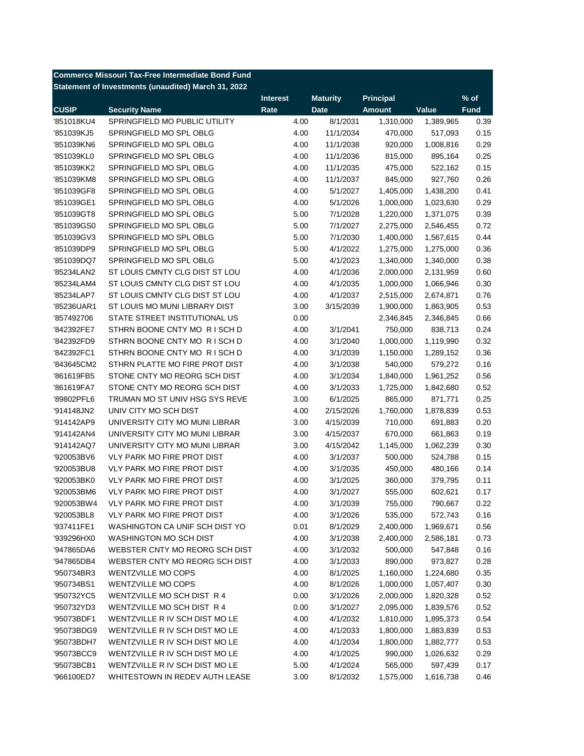|              | <b>Commerce Missouri Tax-Free Intermediate Bond Fund</b> |                 |                 |                  |           |             |
|--------------|----------------------------------------------------------|-----------------|-----------------|------------------|-----------|-------------|
|              | Statement of Investments (unaudited) March 31, 2022      |                 |                 |                  |           |             |
|              |                                                          | <b>Interest</b> | <b>Maturity</b> | <b>Principal</b> |           | $%$ of      |
| <b>CUSIP</b> | <b>Security Name</b>                                     | Rate            | <b>Date</b>     | <b>Amount</b>    | Value     | <b>Fund</b> |
| '851018KU4   | SPRINGFIELD MO PUBLIC UTILITY                            | 4.00            | 8/1/2031        | 1,310,000        | 1,389,965 | 0.39        |
| '851039KJ5   | SPRINGFIELD MO SPL OBLG                                  | 4.00            | 11/1/2034       | 470,000          | 517,093   | 0.15        |
| '851039KN6   | SPRINGFIELD MO SPL OBLG                                  | 4.00            | 11/1/2038       | 920,000          | 1,008,816 | 0.29        |
| '851039KL0   | SPRINGFIELD MO SPL OBLG                                  | 4.00            | 11/1/2036       | 815,000          | 895,164   | 0.25        |
| '851039KK2   | SPRINGFIELD MO SPL OBLG                                  | 4.00            | 11/1/2035       | 475,000          | 522,162   | 0.15        |
| '851039KM8   | SPRINGFIELD MO SPL OBLG                                  | 4.00            | 11/1/2037       | 845,000          | 927,760   | 0.26        |
| '851039GF8   | SPRINGFIELD MO SPL OBLG                                  | 4.00            | 5/1/2027        | 1,405,000        | 1,438,200 | 0.41        |
| '851039GE1   | SPRINGFIELD MO SPL OBLG                                  | 4.00            | 5/1/2026        | 1,000,000        | 1,023,630 | 0.29        |
| '851039GT8   | SPRINGFIELD MO SPL OBLG                                  | 5.00            | 7/1/2028        | 1,220,000        | 1,371,075 | 0.39        |
| '851039GS0   | SPRINGFIELD MO SPL OBLG                                  | 5.00            | 7/1/2027        | 2,275,000        | 2,546,455 | 0.72        |
| '851039GV3   | SPRINGFIELD MO SPL OBLG                                  | 5.00            | 7/1/2030        | 1,400,000        | 1,567,615 | 0.44        |
| '851039DP9   | SPRINGFIELD MO SPL OBLG                                  | 5.00            | 4/1/2022        | 1,275,000        | 1,275,000 | 0.36        |
| '851039DQ7   | SPRINGFIELD MO SPL OBLG                                  | 5.00            | 4/1/2023        | 1,340,000        | 1,340,000 | 0.38        |
| '85234LAN2   | ST LOUIS CMNTY CLG DIST ST LOU                           | 4.00            | 4/1/2036        | 2,000,000        | 2,131,959 | 0.60        |
| '85234LAM4   | ST LOUIS CMNTY CLG DIST ST LOU                           | 4.00            | 4/1/2035        | 1,000,000        | 1,066,946 | 0.30        |
| '85234LAP7   | ST LOUIS CMNTY CLG DIST ST LOU                           | 4.00            | 4/1/2037        | 2,515,000        | 2,674,871 | 0.76        |
| '85236UAR1   | ST LOUIS MO MUNI LIBRARY DIST                            | 3.00            | 3/15/2039       | 1,900,000        | 1,863,905 | 0.53        |
| '857492706   | STATE STREET INSTITUTIONAL US                            | 0.00            |                 | 2,346,845        | 2,346,845 | 0.66        |
| '842392FE7   | STHRN BOONE CNTY MO RISCH D                              | 4.00            | 3/1/2041        | 750,000          | 838,713   | 0.24        |
| '842392FD9   | STHRN BOONE CNTY MO RISCH D                              | 4.00            | 3/1/2040        | 1,000,000        | 1,119,990 | 0.32        |
| '842392FC1   | STHRN BOONE CNTY MO RISCH D                              | 4.00            | 3/1/2039        | 1,150,000        | 1,289,152 | 0.36        |
| '843645CM2   | STHRN PLATTE MO FIRE PROT DIST                           | 4.00            | 3/1/2038        | 540,000          | 579,272   | 0.16        |
| '861619FB5   | STONE CNTY MO REORG SCH DIST                             | 4.00            | 3/1/2034        | 1,840,000        | 1,961,252 | 0.56        |
| '861619FA7   | STONE CNTY MO REORG SCH DIST                             | 4.00            | 3/1/2033        | 1,725,000        | 1,842,680 | 0.52        |
| '89802PFL6   | TRUMAN MO ST UNIV HSG SYS REVE                           | 3.00            | 6/1/2025        | 865,000          | 871,771   | 0.25        |
| '914148JN2   | UNIV CITY MO SCH DIST                                    | 4.00            | 2/15/2026       | 1,760,000        | 1,878,839 | 0.53        |
| '914142AP9   | UNIVERSITY CITY MO MUNI LIBRAR                           | 3.00            | 4/15/2039       | 710,000          | 691,883   | 0.20        |
| '914142AN4   | UNIVERSITY CITY MO MUNI LIBRAR                           | 3.00            | 4/15/2037       | 670,000          | 661,863   | 0.19        |
| '914142AQ7   | UNIVERSITY CITY MO MUNI LIBRAR                           | 3.00            | 4/15/2042       | 1,145,000        | 1,062,239 | 0.30        |
| '920053BV6   | <b>VLY PARK MO FIRE PROT DIST</b>                        | 4.00            | 3/1/2037        | 500,000          | 524,788   | 0.15        |
| '920053BU8   | <b>VLY PARK MO FIRE PROT DIST</b>                        | 4.00            | 3/1/2035        | 450,000          | 480,166   | 0.14        |
| '920053BK0   | <b>VLY PARK MO FIRE PROT DIST</b>                        | 4.00            | 3/1/2025        | 360,000          | 379,795   | 0.11        |
| '920053BM6   | <b>VLY PARK MO FIRE PROT DIST</b>                        | 4.00            | 3/1/2027        | 555,000          |           | 0.17        |
|              | <b>VLY PARK MO FIRE PROT DIST</b>                        |                 |                 |                  | 602,621   |             |
| '920053BW4   |                                                          | 4.00            | 3/1/2039        | 755,000          | 790,667   | 0.22        |
| '920053BL8   | VLY PARK MO FIRE PROT DIST                               | 4.00            | 3/1/2026        | 535,000          | 572,743   | 0.16        |
| '937411FE1   | WASHINGTON CA UNIF SCH DIST YO                           | 0.01            | 8/1/2029        | 2,400,000        | 1,969,671 | 0.56        |
| '939296HX0   | WASHINGTON MO SCH DIST                                   | 4.00            | 3/1/2038        | 2,400,000        | 2,586,181 | 0.73        |
| '947865DA6   | WEBSTER CNTY MO REORG SCH DIST                           | 4.00            | 3/1/2032        | 500,000          | 547,848   | 0.16        |
| '947865DB4   | WEBSTER CNTY MO REORG SCH DIST                           | 4.00            | 3/1/2033        | 890,000          | 973,827   | 0.28        |
| '950734BR3   | <b>WENTZVILLE MO COPS</b>                                | 4.00            | 8/1/2025        | 1,160,000        | 1,224,680 | 0.35        |
| '950734BS1   | WENTZVILLE MO COPS                                       | 4.00            | 8/1/2026        | 1,000,000        | 1,057,407 | 0.30        |
| '950732YC5   | WENTZVILLE MO SCH DIST R 4                               | 0.00            | 3/1/2026        | 2,000,000        | 1,820,328 | 0.52        |
| '950732YD3   | WENTZVILLE MO SCH DIST R 4                               | 0.00            | 3/1/2027        | 2,095,000        | 1,839,576 | 0.52        |
| '95073BDF1   | WENTZVILLE R IV SCH DIST MO LE                           | 4.00            | 4/1/2032        | 1,810,000        | 1,895,373 | 0.54        |
| '95073BDG9   | WENTZVILLE R IV SCH DIST MO LE                           | 4.00            | 4/1/2033        | 1,800,000        | 1,883,839 | 0.53        |
| '95073BDH7   | WENTZVILLE R IV SCH DIST MO LE                           | 4.00            | 4/1/2034        | 1,800,000        | 1,882,777 | 0.53        |
| '95073BCC9   | WENTZVILLE R IV SCH DIST MO LE                           | 4.00            | 4/1/2025        | 990,000          | 1,026,632 | 0.29        |
| '95073BCB1   | WENTZVILLE R IV SCH DIST MO LE                           | 5.00            | 4/1/2024        | 565,000          | 597,439   | 0.17        |
| '966100ED7   | WHITESTOWN IN REDEV AUTH LEASE                           | 3.00            | 8/1/2032        | 1,575,000        | 1,616,738 | 0.46        |